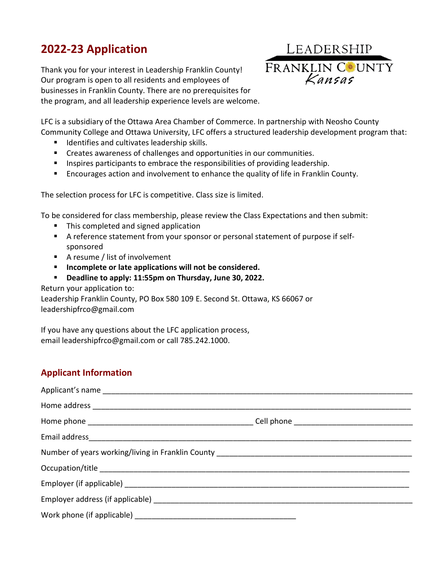# **2022-23 Application**

Thank you for your interest in Leadership Franklin County! Our program is open to all residents and employees of businesses in Franklin County. There are no prerequisites for the program, and all leadership experience levels are welcome.



LFC is a subsidiary of the Ottawa Area Chamber of Commerce. In partnership with Neosho County Community College and Ottawa University, LFC offers a structured leadership development program that:

- **If** Identifies and cultivates leadership skills.
- Creates awareness of challenges and opportunities in our communities.
- **IF Inspires participants to embrace the responsibilities of providing leadership.**
- **Encourages action and involvement to enhance the quality of life in Franklin County.**

The selection process for LFC is competitive. Class size is limited.

To be considered for class membership, please review the Class Expectations and then submit:

- This completed and signed application
- A reference statement from your sponsor or personal statement of purpose if selfsponsored
- A resume / list of involvement
- **Incomplete or late applications will not be considered.**
- **Deadline to apply: 11:55pm on Thursday, June 30, 2022.**

Return your application to:

Leadership Franklin County, PO Box 580 109 E. Second St. Ottawa, KS 66067 or leadershipfrco@gmail.com

If you have any questions about the LFC application process, email leadershipfrco@gmail.com or call 785.242.1000.

### **Applicant Information**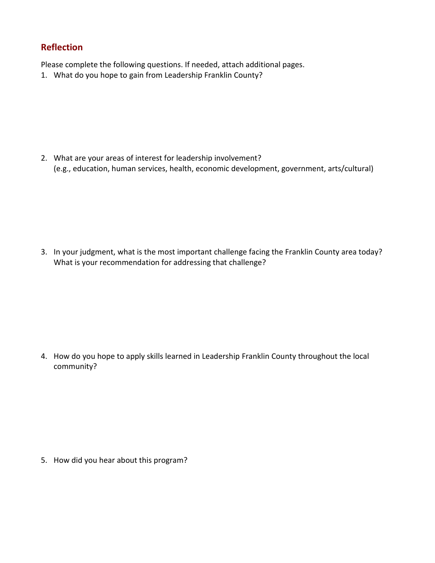### **Reflection**

Please complete the following questions. If needed, attach additional pages.

1. What do you hope to gain from Leadership Franklin County?

2. What are your areas of interest for leadership involvement? (e.g., education, human services, health, economic development, government, arts/cultural)

3. In your judgment, what is the most important challenge facing the Franklin County area today? What is your recommendation for addressing that challenge?

4. How do you hope to apply skills learned in Leadership Franklin County throughout the local community?

5. How did you hear about this program?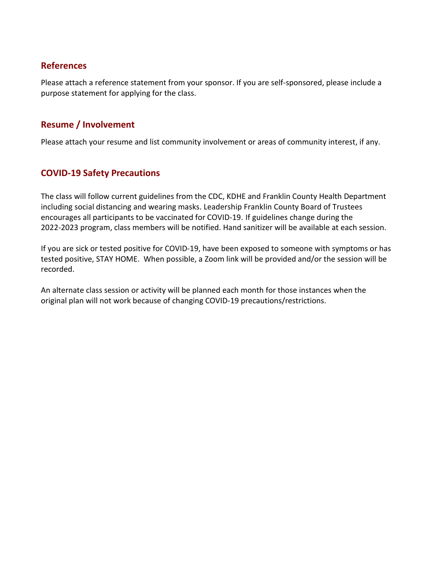#### **References**

Please attach a reference statement from your sponsor. If you are self-sponsored, please include a purpose statement for applying for the class.

#### **Resume / Involvement**

Please attach your resume and list community involvement or areas of community interest, if any.

### **COVID-19 Safety Precautions**

The class will follow current guidelines from the CDC, KDHE and Franklin County Health Department including social distancing and wearing masks. Leadership Franklin County Board of Trustees encourages all participants to be vaccinated for COVID-19. If guidelines change during the 2022-2023 program, class members will be notified. Hand sanitizer will be available at each session.

If you are sick or tested positive for COVID-19, have been exposed to someone with symptoms or has tested positive, STAY HOME. When possible, a Zoom link will be provided and/or the session will be recorded.

An alternate class session or activity will be planned each month for those instances when the original plan will not work because of changing COVID-19 precautions/restrictions.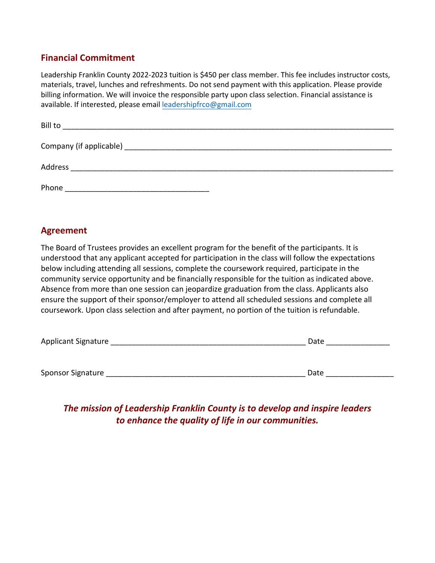### **Financial Commitment**

Leadership Franklin County 2022-2023 tuition is \$450 per class member. This fee includes instructor costs, materials, travel, lunches and refreshments. Do not send payment with this application. Please provide billing information. We will invoice the responsible party upon class selection. Financial assistance is available. If interested, please email [leadershipfrco@gmail.com](mailto:leadershipfrco@gmail.com)

| Bill to |  |
|---------|--|
|         |  |
| Address |  |
| Phone   |  |

#### **Agreement**

The Board of Trustees provides an excellent program for the benefit of the participants. It is understood that any applicant accepted for participation in the class will follow the expectations below including attending all sessions, complete the coursework required, participate in the community service opportunity and be financially responsible for the tuition as indicated above. Absence from more than one session can jeopardize graduation from the class. Applicants also ensure the support of their sponsor/employer to attend all scheduled sessions and complete all coursework. Upon class selection and after payment, no portion of the tuition is refundable.

| Applicant Signature | Date |
|---------------------|------|
|                     |      |
|                     |      |
| Sponsor Signature   | Date |

## *The mission of Leadership Franklin County is to develop and inspire leaders to enhance the quality of life in our communities.*